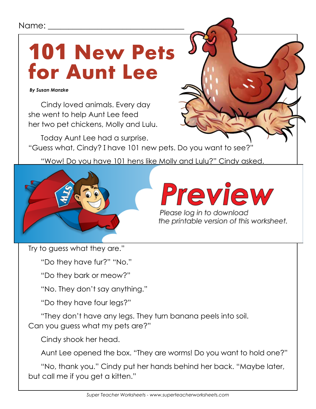## Name:

## **101 New Pets for Aunt Lee**

 *By Susan Manzke*

Cindy loved animals. Every day she went to help Aunt Lee feed her two pet chickens, Molly and Lulu.

Today Aunt Lee had a surprise. "Guess what, Cindy? I have 101 new pets. Do you want to see?"

"Wow! Do you have 101 hens like Molly and Lulu?" Cindy asked.



## Cindy looked everywhere. "Where are you can also have a series and the series are your new petroleum. "All the  $R$  right here. The time time to a round box.

Please log in to download

Try to guess what they are."

"Do they have fur?" "No."

"Do they bark or meow?"

"No. They don't say anything."

"Do they have four legs?"

"They don't have any legs. They turn banana peels into soil. Can you guess what my pets are?"

Cindy shook her head.

Aunt Lee opened the box. "They are worms! Do you want to hold one?"

"No, thank you." Cindy put her hands behind her back. "Maybe later, but call me if you get a kitten."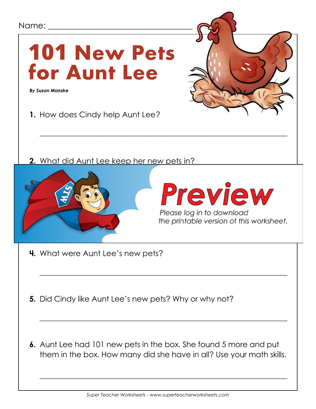